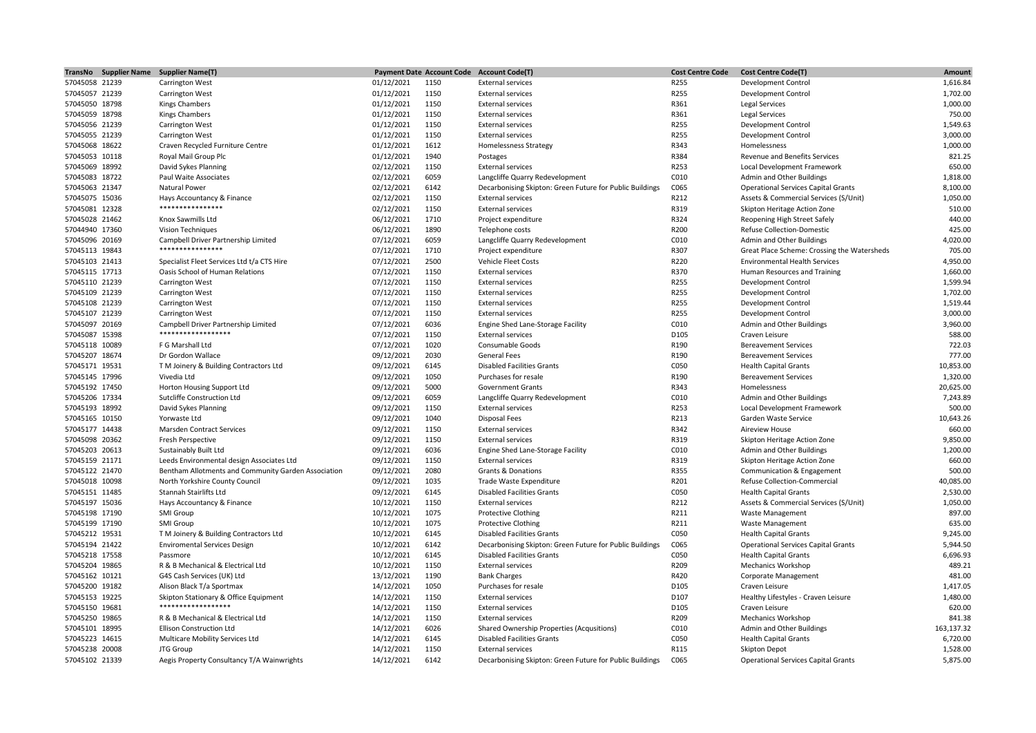|                | TransNo Supplier Name Supplier Name(T)              |            |      | Payment Date Account Code Account Code(T)                | <b>Cost Centre Code</b> | <b>Cost Centre Code(T)</b>                  | Amount     |
|----------------|-----------------------------------------------------|------------|------|----------------------------------------------------------|-------------------------|---------------------------------------------|------------|
| 57045058 21239 | Carrington West                                     | 01/12/2021 | 1150 | <b>External services</b>                                 | R255                    | <b>Development Control</b>                  | 1,616.84   |
| 57045057 21239 | <b>Carrington West</b>                              | 01/12/2021 | 1150 | <b>External services</b>                                 | R255                    | <b>Development Control</b>                  | 1,702.00   |
| 57045050 18798 | Kings Chambers                                      | 01/12/2021 | 1150 | <b>External services</b>                                 | R361                    | Legal Services                              | 1,000.00   |
| 57045059 18798 | <b>Kings Chambers</b>                               | 01/12/2021 | 1150 | <b>External services</b>                                 | R361                    | Legal Services                              | 750.00     |
| 57045056 21239 | <b>Carrington West</b>                              | 01/12/2021 | 1150 | <b>External services</b>                                 | R255                    | <b>Development Control</b>                  | 1,549.63   |
| 57045055 21239 | <b>Carrington West</b>                              | 01/12/2021 | 1150 | <b>External services</b>                                 | R255                    | Development Control                         | 3,000.00   |
| 57045068 18622 | Craven Recycled Furniture Centre                    | 01/12/2021 | 1612 | <b>Homelessness Strategy</b>                             | R343                    | Homelessness                                | 1,000.00   |
| 57045053 10118 | Royal Mail Group Plc                                | 01/12/2021 | 1940 | Postages                                                 | R384                    | Revenue and Benefits Services               | 821.25     |
| 57045069 18992 | David Sykes Planning                                | 02/12/2021 | 1150 | <b>External services</b>                                 | R253                    | Local Development Framework                 | 650.00     |
| 57045083 18722 | Paul Waite Associates                               | 02/12/2021 | 6059 | Langcliffe Quarry Redevelopment                          | C010                    | Admin and Other Buildings                   | 1,818.00   |
| 57045063 21347 | Natural Power                                       | 02/12/2021 | 6142 | Decarbonising Skipton: Green Future for Public Buildings | C065                    | <b>Operational Services Capital Grants</b>  | 8,100.00   |
| 57045075 15036 | Hays Accountancy & Finance                          | 02/12/2021 | 1150 | <b>External services</b>                                 | R212                    | Assets & Commercial Services (S/Unit)       | 1,050.00   |
| 57045081 12328 | ****************                                    | 02/12/2021 | 1150 | <b>External services</b>                                 | R319                    | Skipton Heritage Action Zone                | 510.00     |
| 57045028 21462 | Knox Sawmills Ltd                                   | 06/12/2021 | 1710 | Project expenditure                                      | R324                    | Reopening High Street Safely                | 440.00     |
| 57044940 17360 | Vision Techniques                                   | 06/12/2021 | 1890 | Telephone costs                                          | R200                    | Refuse Collection-Domestic                  | 425.00     |
| 57045096 20169 | Campbell Driver Partnership Limited                 | 07/12/2021 | 6059 | Langcliffe Quarry Redevelopment                          | C010                    | Admin and Other Buildings                   | 4,020.00   |
| 57045113 19843 | ****************                                    | 07/12/2021 | 1710 | Project expenditure                                      | R307                    | Great Place Scheme: Crossing the Watersheds | 705.00     |
| 57045103 21413 | Specialist Fleet Services Ltd t/a CTS Hire          | 07/12/2021 | 2500 | Vehicle Fleet Costs                                      | R220                    | <b>Environmental Health Services</b>        | 4,950.00   |
| 57045115 17713 | Oasis School of Human Relations                     | 07/12/2021 | 1150 | <b>External services</b>                                 | R370                    | Human Resources and Training                | 1,660.00   |
| 57045110 21239 | <b>Carrington West</b>                              | 07/12/2021 | 1150 | <b>External services</b>                                 | R255                    | <b>Development Control</b>                  | 1,599.94   |
| 57045109 21239 | <b>Carrington West</b>                              | 07/12/2021 | 1150 | <b>External services</b>                                 | R255                    | <b>Development Control</b>                  | 1,702.00   |
| 57045108 21239 | <b>Carrington West</b>                              | 07/12/2021 | 1150 | <b>External services</b>                                 | R255                    | Development Control                         | 1,519.44   |
| 57045107 21239 | Carrington West                                     | 07/12/2021 | 1150 | <b>External services</b>                                 | R255                    | <b>Development Control</b>                  | 3,000.00   |
| 57045097 20169 | Campbell Driver Partnership Limited                 | 07/12/2021 | 6036 | Engine Shed Lane-Storage Facility                        | C010                    | Admin and Other Buildings                   | 3,960.00   |
| 57045087 15398 | *****************                                   | 07/12/2021 | 1150 | <b>External services</b>                                 | D105                    | Craven Leisure                              | 588.00     |
| 57045118 10089 | F G Marshall Ltd                                    | 07/12/2021 | 1020 | Consumable Goods                                         | R190                    | <b>Bereavement Services</b>                 | 722.03     |
| 57045207 18674 | Dr Gordon Wallace                                   | 09/12/2021 | 2030 | <b>General Fees</b>                                      | R190                    | <b>Bereavement Services</b>                 | 777.00     |
| 57045171 19531 | T M Joinery & Building Contractors Ltd              | 09/12/2021 | 6145 | <b>Disabled Facilities Grants</b>                        | C050                    | <b>Health Capital Grants</b>                | 10,853.00  |
| 57045145 17996 | Vivedia Ltd                                         | 09/12/2021 | 1050 | Purchases for resale                                     | R190                    | <b>Bereavement Services</b>                 | 1,320.00   |
| 57045192 17450 | Horton Housing Support Ltd                          | 09/12/2021 | 5000 | <b>Government Grants</b>                                 | R343                    | Homelessness                                | 20,625.00  |
| 57045206 17334 | Sutcliffe Construction Ltd                          | 09/12/2021 | 6059 | Langcliffe Quarry Redevelopment                          | C010                    | Admin and Other Buildings                   | 7,243.89   |
| 57045193 18992 | David Sykes Planning                                | 09/12/2021 | 1150 | <b>External services</b>                                 | R253                    | Local Development Framework                 | 500.00     |
| 57045165 10150 | Yorwaste Ltd                                        | 09/12/2021 | 1040 | <b>Disposal Fees</b>                                     | R213                    | Garden Waste Service                        | 10,643.26  |
| 57045177 14438 | Marsden Contract Services                           | 09/12/2021 | 1150 | <b>External services</b>                                 | R342                    | Aireview House                              | 660.00     |
| 57045098 20362 | Fresh Perspective                                   | 09/12/2021 | 1150 | <b>External services</b>                                 | R319                    | Skipton Heritage Action Zone                | 9,850.00   |
| 57045203 20613 | Sustainably Built Ltd                               | 09/12/2021 | 6036 | Engine Shed Lane-Storage Facility                        | C010                    | Admin and Other Buildings                   | 1,200.00   |
| 57045159 21171 | Leeds Environmental design Associates Ltd           | 09/12/2021 | 1150 | <b>External services</b>                                 | R319                    | Skipton Heritage Action Zone                | 660.00     |
| 57045122 21470 | Bentham Allotments and Community Garden Association | 09/12/2021 | 2080 | Grants & Donations                                       | R355                    | Communication & Engagement                  | 500.00     |
| 57045018 10098 | North Yorkshire County Council                      | 09/12/2021 | 1035 | Trade Waste Expenditure                                  | R201                    | Refuse Collection-Commercial                | 40,085.00  |
| 57045151 11485 | Stannah Stairlifts Ltd                              | 09/12/2021 | 6145 | <b>Disabled Facilities Grants</b>                        | C050                    | <b>Health Capital Grants</b>                | 2,530.00   |
| 57045197 15036 | Hays Accountancy & Finance                          | 10/12/2021 | 1150 | <b>External services</b>                                 | R212                    | Assets & Commercial Services (S/Unit)       | 1,050.00   |
| 57045198 17190 | SMI Group                                           | 10/12/2021 | 1075 | <b>Protective Clothing</b>                               | R211                    | <b>Waste Management</b>                     | 897.00     |
| 57045199 17190 | SMI Group                                           | 10/12/2021 | 1075 | <b>Protective Clothing</b>                               | R211                    | <b>Waste Management</b>                     | 635.00     |
| 57045212 19531 | T M Joinery & Building Contractors Ltd              | 10/12/2021 | 6145 | <b>Disabled Facilities Grants</b>                        | C050                    | <b>Health Capital Grants</b>                | 9,245.00   |
| 57045194 21422 | <b>Enviromental Services Design</b>                 | 10/12/2021 | 6142 | Decarbonising Skipton: Green Future for Public Buildings | C065                    | <b>Operational Services Capital Grants</b>  | 5,944.50   |
| 57045218 17558 | Passmore                                            | 10/12/2021 | 6145 | <b>Disabled Facilities Grants</b>                        | C050                    | <b>Health Capital Grants</b>                | 6,696.93   |
| 57045204 19865 | R & B Mechanical & Electrical Ltd                   | 10/12/2021 | 1150 | <b>External services</b>                                 | R209                    | <b>Mechanics Workshop</b>                   | 489.21     |
| 57045162 10121 | G4S Cash Services (UK) Ltd                          | 13/12/2021 | 1190 | <b>Bank Charges</b>                                      | R420                    | Corporate Management                        | 481.00     |
| 57045200 19182 | Alison Black T/a Sportmax                           | 14/12/2021 | 1050 | Purchases for resale                                     | D105                    | Craven Leisure                              | 1,417.05   |
| 57045153 19225 | Skipton Stationary & Office Equipment               | 14/12/2021 | 1150 | <b>External services</b>                                 | D107                    | Healthy Lifestyles - Craven Leisure         | 1,480.00   |
| 57045150 19681 | *****************                                   | 14/12/2021 | 1150 | <b>External services</b>                                 | D105                    | Craven Leisure                              | 620.00     |
| 57045250 19865 | R & B Mechanical & Electrical Ltd                   | 14/12/2021 | 1150 | <b>External services</b>                                 | R209                    | <b>Mechanics Workshop</b>                   | 841.38     |
| 57045101 18995 | <b>Ellison Construction Ltd</b>                     | 14/12/2021 | 6026 | Shared Ownership Properties (Acqusitions)                | C010                    | Admin and Other Buildings                   | 163,137.32 |
| 57045223 14615 | Multicare Mobility Services Ltd                     | 14/12/2021 | 6145 | <b>Disabled Facilities Grants</b>                        | C050                    | <b>Health Capital Grants</b>                | 6,720.00   |
| 57045238 20008 | JTG Group                                           | 14/12/2021 | 1150 | <b>External services</b>                                 | R115                    | Skipton Depot                               | 1,528.00   |
| 57045102 21339 | Aegis Property Consultancy T/A Wainwrights          | 14/12/2021 | 6142 | Decarbonising Skipton: Green Future for Public Buildings | C065                    | <b>Operational Services Capital Grants</b>  | 5,875.00   |